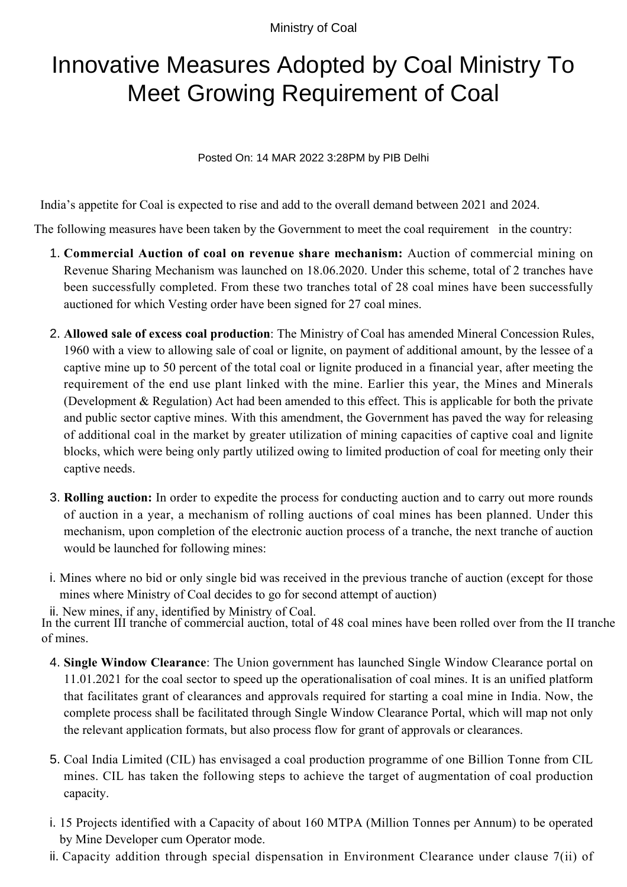Ministry of Coal

## Innovative Measures Adopted by Coal Ministry To Meet Growing Requirement of Coal

Posted On: 14 MAR 2022 3:28PM by PIB Delhi

India's appetite for Coal is expected to rise and add to the overall demand between 2021 and 2024.

The following measures have been taken by the Government to meet the coal requirement in the country:

- **Commercial Auction of coal on revenue share mechanism:** Auction of commercial mining on 1. Revenue Sharing Mechanism was launched on 18.06.2020. Under this scheme, total of 2 tranches have been successfully completed. From these two tranches total of 28 coal mines have been successfully auctioned for which Vesting order have been signed for 27 coal mines.
- **Allowed sale of excess coal production**: The Ministry of Coal has amended Mineral Concession Rules, 2. 1960 with a view to allowing sale of coal or lignite, on payment of additional amount, by the lessee of a captive mine up to 50 percent of the total coal or lignite produced in a financial year, after meeting the requirement of the end use plant linked with the mine. Earlier this year, the Mines and Minerals (Development & Regulation) Act had been amended to this effect. This is applicable for both the private and public sector captive mines. With this amendment, the Government has paved the way for releasing of additional coal in the market by greater utilization of mining capacities of captive coal and lignite blocks, which were being only partly utilized owing to limited production of coal for meeting only their captive needs.
- **Rolling auction:** In order to expedite the process for conducting auction and to carry out more rounds 3. of auction in a year, a mechanism of rolling auctions of coal mines has been planned. Under this mechanism, upon completion of the electronic auction process of a tranche, the next tranche of auction would be launched for following mines:
- i. Mines where no bid or only single bid was received in the previous tranche of auction (except for those mines where Ministry of Coal decides to go for second attempt of auction)

ii. New mines, if any, identified by Ministry of Coal. In the current III tranche of commercial auction, total of 48 coal mines have been rolled over from the II tranche of mines.

- **Single Window Clearance**: The Union government has launched Single Window Clearance portal on 4. 11.01.2021 for the coal sector to speed up the operationalisation of coal mines. It is an unified platform that facilitates grant of clearances and approvals required for starting a coal mine in India. Now, the complete process shall be facilitated through Single Window Clearance Portal, which will map not only the relevant application formats, but also process flow for grant of approvals or clearances.
- 5. Coal India Limited (CIL) has envisaged a coal production programme of one Billion Tonne from CIL mines. CIL has taken the following steps to achieve the target of augmentation of coal production capacity.
- i. 15 Projects identified with a Capacity of about 160 MTPA (Million Tonnes per Annum) to be operated by Mine Developer cum Operator mode.
- ii. Capacity addition through special dispensation in Environment Clearance under clause 7(ii) of